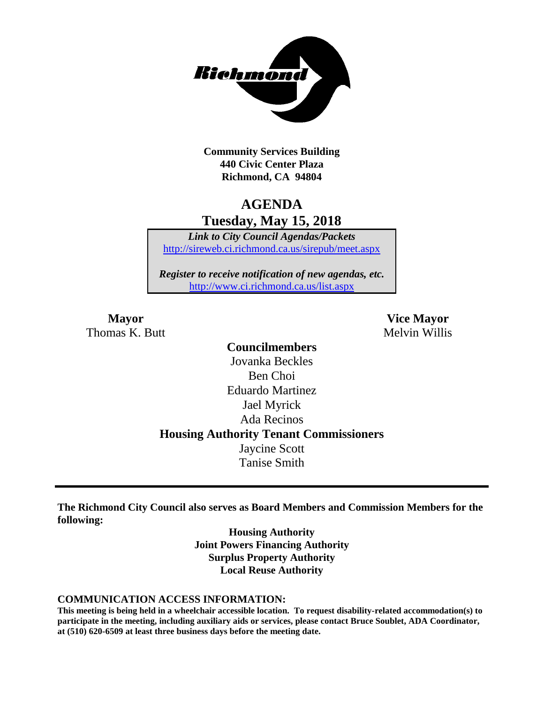

**Community Services Building 440 Civic Center Plaza Richmond, CA 94804**

## **AGENDA Tuesday, May 15, 2018**

*Link to City Council Agendas/Packets* <http://sireweb.ci.richmond.ca.us/sirepub/meet.aspx>

*Register to receive notification of new agendas, etc.* <http://www.ci.richmond.ca.us/list.aspx>

Thomas K. Butt Melvin Willis

**Mayor Vice Mayor**

**Councilmembers** Jovanka Beckles Ben Choi Eduardo Martinez Jael Myrick Ada Recinos **Housing Authority Tenant Commissioners** Jaycine Scott Tanise Smith

**The Richmond City Council also serves as Board Members and Commission Members for the following:**

> **Housing Authority Joint Powers Financing Authority Surplus Property Authority Local Reuse Authority**

#### **COMMUNICATION ACCESS INFORMATION:**

**This meeting is being held in a wheelchair accessible location. To request disability-related accommodation(s) to participate in the meeting, including auxiliary aids or services, please contact Bruce Soublet, ADA Coordinator, at (510) 620-6509 at least three business days before the meeting date.**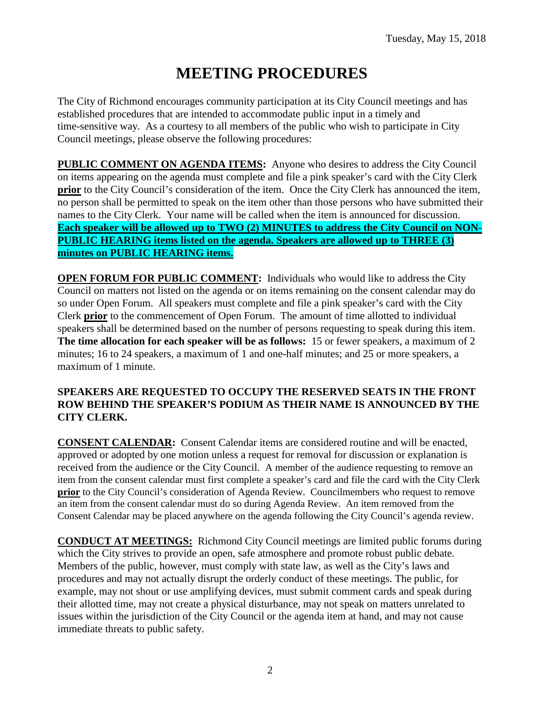# **MEETING PROCEDURES**

The City of Richmond encourages community participation at its City Council meetings and has established procedures that are intended to accommodate public input in a timely and time-sensitive way. As a courtesy to all members of the public who wish to participate in City Council meetings, please observe the following procedures:

**PUBLIC COMMENT ON AGENDA ITEMS:** Anyone who desires to address the City Council on items appearing on the agenda must complete and file a pink speaker's card with the City Clerk **prior** to the City Council's consideration of the item. Once the City Clerk has announced the item, no person shall be permitted to speak on the item other than those persons who have submitted their names to the City Clerk. Your name will be called when the item is announced for discussion. **Each speaker will be allowed up to TWO (2) MINUTES to address the City Council on NON-PUBLIC HEARING items listed on the agenda. Speakers are allowed up to THREE (3) minutes on PUBLIC HEARING items.**

**OPEN FORUM FOR PUBLIC COMMENT:** Individuals who would like to address the City Council on matters not listed on the agenda or on items remaining on the consent calendar may do so under Open Forum. All speakers must complete and file a pink speaker's card with the City Clerk **prior** to the commencement of Open Forum. The amount of time allotted to individual speakers shall be determined based on the number of persons requesting to speak during this item. **The time allocation for each speaker will be as follows:** 15 or fewer speakers, a maximum of 2 minutes; 16 to 24 speakers, a maximum of 1 and one-half minutes; and 25 or more speakers, a maximum of 1 minute.

#### **SPEAKERS ARE REQUESTED TO OCCUPY THE RESERVED SEATS IN THE FRONT ROW BEHIND THE SPEAKER'S PODIUM AS THEIR NAME IS ANNOUNCED BY THE CITY CLERK.**

**CONSENT CALENDAR:** Consent Calendar items are considered routine and will be enacted, approved or adopted by one motion unless a request for removal for discussion or explanation is received from the audience or the City Council. A member of the audience requesting to remove an item from the consent calendar must first complete a speaker's card and file the card with the City Clerk **prior** to the City Council's consideration of Agenda Review. Councilmembers who request to remove an item from the consent calendar must do so during Agenda Review. An item removed from the Consent Calendar may be placed anywhere on the agenda following the City Council's agenda review.

**CONDUCT AT MEETINGS:** Richmond City Council meetings are limited public forums during which the City strives to provide an open, safe atmosphere and promote robust public debate. Members of the public, however, must comply with state law, as well as the City's laws and procedures and may not actually disrupt the orderly conduct of these meetings. The public, for example, may not shout or use amplifying devices, must submit comment cards and speak during their allotted time, may not create a physical disturbance, may not speak on matters unrelated to issues within the jurisdiction of the City Council or the agenda item at hand, and may not cause immediate threats to public safety.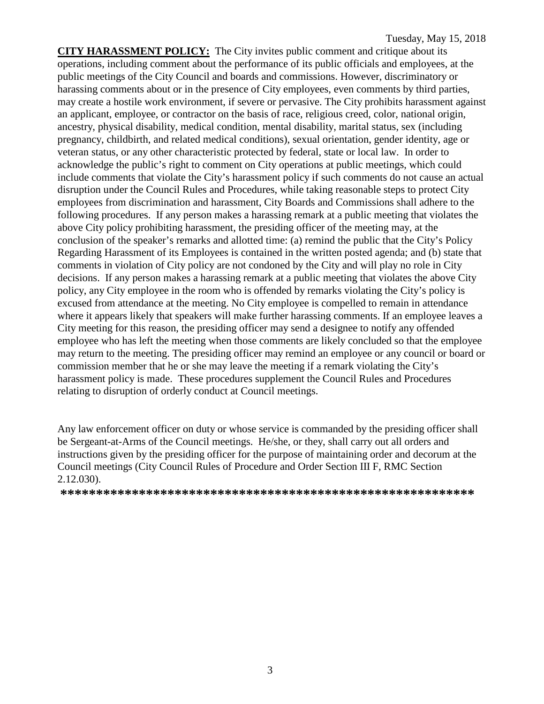**CITY HARASSMENT POLICY:** The City invites public comment and critique about its operations, including comment about the performance of its public officials and employees, at the public meetings of the City Council and boards and commissions. However, discriminatory or harassing comments about or in the presence of City employees, even comments by third parties, may create a hostile work environment, if severe or pervasive. The City prohibits harassment against an applicant, employee, or contractor on the basis of race, religious creed, color, national origin, ancestry, physical disability, medical condition, mental disability, marital status, sex (including pregnancy, childbirth, and related medical conditions), sexual orientation, gender identity, age or veteran status, or any other characteristic protected by federal, state or local law. In order to acknowledge the public's right to comment on City operations at public meetings, which could include comments that violate the City's harassment policy if such comments do not cause an actual disruption under the Council Rules and Procedures, while taking reasonable steps to protect City employees from discrimination and harassment, City Boards and Commissions shall adhere to the following procedures. If any person makes a harassing remark at a public meeting that violates the above City policy prohibiting harassment, the presiding officer of the meeting may, at the conclusion of the speaker's remarks and allotted time: (a) remind the public that the City's Policy Regarding Harassment of its Employees is contained in the written posted agenda; and (b) state that comments in violation of City policy are not condoned by the City and will play no role in City decisions. If any person makes a harassing remark at a public meeting that violates the above City policy, any City employee in the room who is offended by remarks violating the City's policy is excused from attendance at the meeting. No City employee is compelled to remain in attendance where it appears likely that speakers will make further harassing comments. If an employee leaves a City meeting for this reason, the presiding officer may send a designee to notify any offended employee who has left the meeting when those comments are likely concluded so that the employee may return to the meeting. The presiding officer may remind an employee or any council or board or commission member that he or she may leave the meeting if a remark violating the City's harassment policy is made. These procedures supplement the Council Rules and Procedures relating to disruption of orderly conduct at Council meetings.

Any law enforcement officer on duty or whose service is commanded by the presiding officer shall be Sergeant-at-Arms of the Council meetings. He/she, or they, shall carry out all orders and instructions given by the presiding officer for the purpose of maintaining order and decorum at the Council meetings (City Council Rules of Procedure and Order Section III F, RMC Section 2.12.030).

**\*\*\*\*\*\*\*\*\*\*\*\*\*\*\*\*\*\*\*\*\*\*\*\*\*\*\*\*\*\*\*\*\*\*\*\*\*\*\*\*\*\*\*\*\*\*\*\*\*\*\*\*\*\*\*\*\*\***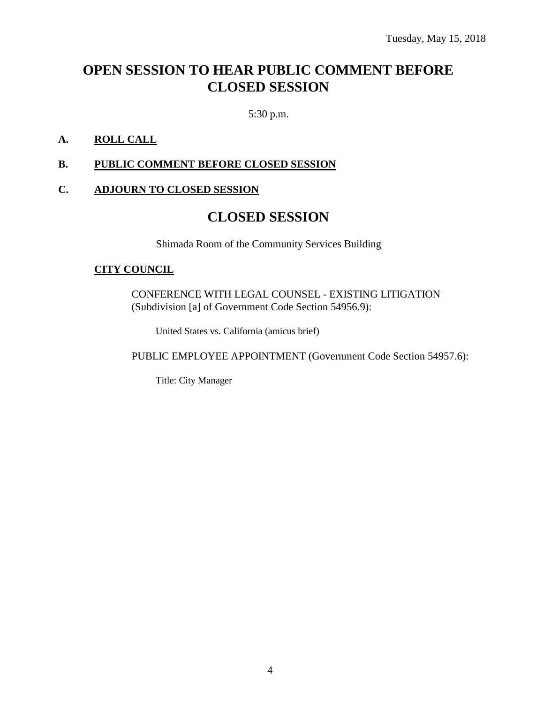## **OPEN SESSION TO HEAR PUBLIC COMMENT BEFORE CLOSED SESSION**

5:30 p.m.

#### **A. ROLL CALL**

#### **B. PUBLIC COMMENT BEFORE CLOSED SESSION**

#### **C. ADJOURN TO CLOSED SESSION**

## **CLOSED SESSION**

Shimada Room of the Community Services Building

#### **CITY COUNCIL**

CONFERENCE WITH LEGAL COUNSEL - EXISTING LITIGATION (Subdivision [a] of Government Code Section 54956.9):

United States vs. California (amicus brief)

PUBLIC EMPLOYEE APPOINTMENT (Government Code Section 54957.6):

Title: City Manager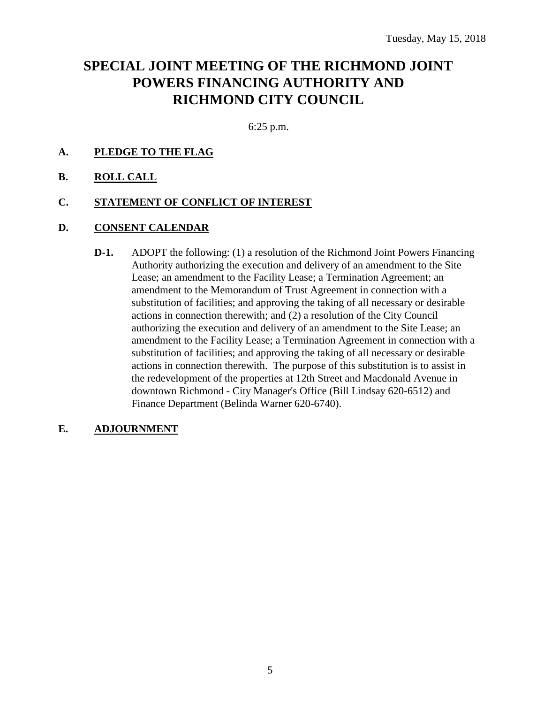## **SPECIAL JOINT MEETING OF THE RICHMOND JOINT POWERS FINANCING AUTHORITY AND RICHMOND CITY COUNCIL**

6:25 p.m.

### **A. PLEDGE TO THE FLAG**

**B. ROLL CALL**

#### **C. STATEMENT OF CONFLICT OF INTEREST**

#### **D. CONSENT CALENDAR**

**D-1.** ADOPT the following: (1) a resolution of the Richmond Joint Powers Financing Authority authorizing the execution and delivery of an amendment to the Site Lease; an amendment to the Facility Lease; a Termination Agreement; an amendment to the Memorandum of Trust Agreement in connection with a substitution of facilities; and approving the taking of all necessary or desirable actions in connection therewith; and (2) a resolution of the City Council authorizing the execution and delivery of an amendment to the Site Lease; an amendment to the Facility Lease; a Termination Agreement in connection with a substitution of facilities; and approving the taking of all necessary or desirable actions in connection therewith. The purpose of this substitution is to assist in the redevelopment of the properties at 12th Street and Macdonald Avenue in downtown Richmond - City Manager's Office (Bill Lindsay 620-6512) and Finance Department (Belinda Warner 620-6740).

#### **E. ADJOURNMENT**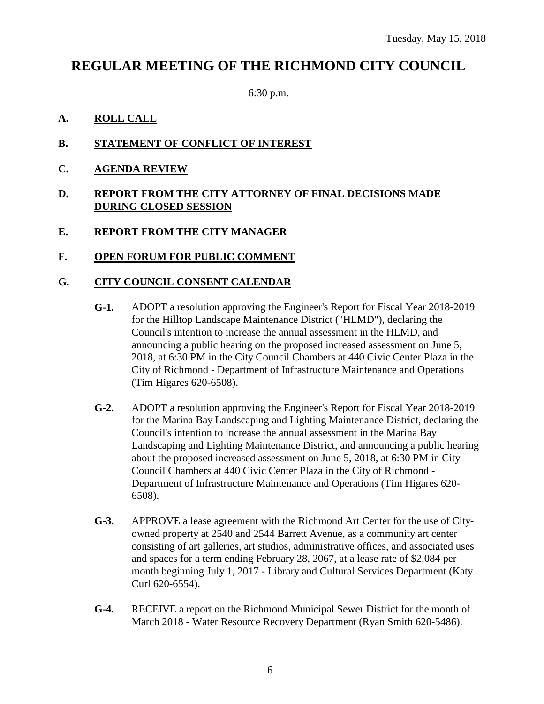## **REGULAR MEETING OF THE RICHMOND CITY COUNCIL**

6:30 p.m.

- **A. ROLL CALL**
- **B. STATEMENT OF CONFLICT OF INTEREST**
- **C. AGENDA REVIEW**
- **D. REPORT FROM THE CITY ATTORNEY OF FINAL DECISIONS MADE DURING CLOSED SESSION**
- **E. REPORT FROM THE CITY MANAGER**
- **F. OPEN FORUM FOR PUBLIC COMMENT**

### **G. CITY COUNCIL CONSENT CALENDAR**

- **G-1.** ADOPT a resolution approving the Engineer's Report for Fiscal Year 2018-2019 for the Hilltop Landscape Maintenance District ("HLMD"), declaring the Council's intention to increase the annual assessment in the HLMD, and announcing a public hearing on the proposed increased assessment on June 5, 2018, at 6:30 PM in the City Council Chambers at 440 Civic Center Plaza in the City of Richmond - Department of Infrastructure Maintenance and Operations (Tim Higares 620-6508).
- **G-2.** ADOPT a resolution approving the Engineer's Report for Fiscal Year 2018-2019 for the Marina Bay Landscaping and Lighting Maintenance District, declaring the Council's intention to increase the annual assessment in the Marina Bay Landscaping and Lighting Maintenance District, and announcing a public hearing about the proposed increased assessment on June 5, 2018, at 6:30 PM in City Council Chambers at 440 Civic Center Plaza in the City of Richmond - Department of Infrastructure Maintenance and Operations (Tim Higares 620- 6508).
- **G-3.** APPROVE a lease agreement with the Richmond Art Center for the use of Cityowned property at 2540 and 2544 Barrett Avenue, as a community art center consisting of art galleries, art studios, administrative offices, and associated uses and spaces for a term ending February 28, 2067, at a lease rate of \$2,084 per month beginning July 1, 2017 - Library and Cultural Services Department (Katy Curl 620-6554).
- **G-4.** RECEIVE a report on the Richmond Municipal Sewer District for the month of March 2018 - Water Resource Recovery Department (Ryan Smith 620-5486).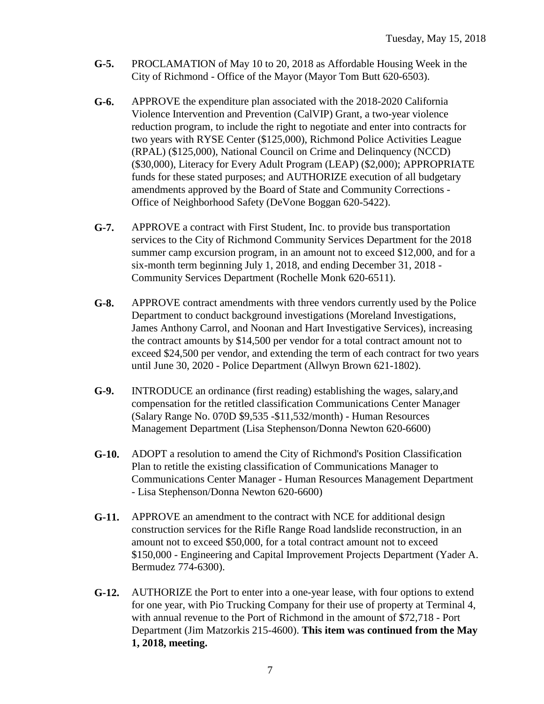- **G-5.** PROCLAMATION of May 10 to 20, 2018 as Affordable Housing Week in the City of Richmond - Office of the Mayor (Mayor Tom Butt 620-6503).
- **G-6.** APPROVE the expenditure plan associated with the 2018-2020 California Violence Intervention and Prevention (CalVIP) Grant, a two-year violence reduction program, to include the right to negotiate and enter into contracts for two years with RYSE Center (\$125,000), Richmond Police Activities League (RPAL) (\$125,000), National Council on Crime and Delinquency (NCCD) (\$30,000), Literacy for Every Adult Program (LEAP) (\$2,000); APPROPRIATE funds for these stated purposes; and AUTHORIZE execution of all budgetary amendments approved by the Board of State and Community Corrections - Office of Neighborhood Safety (DeVone Boggan 620-5422).
- **G-7.** APPROVE a contract with First Student, Inc. to provide bus transportation services to the City of Richmond Community Services Department for the 2018 summer camp excursion program, in an amount not to exceed \$12,000, and for a six-month term beginning July 1, 2018, and ending December 31, 2018 - Community Services Department (Rochelle Monk 620-6511).
- **G-8.** APPROVE contract amendments with three vendors currently used by the Police Department to conduct background investigations (Moreland Investigations, James Anthony Carrol, and Noonan and Hart Investigative Services), increasing the contract amounts by \$14,500 per vendor for a total contract amount not to exceed \$24,500 per vendor, and extending the term of each contract for two years until June 30, 2020 - Police Department (Allwyn Brown 621-1802).
- **G-9.** INTRODUCE an ordinance (first reading) establishing the wages, salary,and compensation for the retitled classification Communications Center Manager (Salary Range No. 070D \$9,535 -\$11,532/month) - Human Resources Management Department (Lisa Stephenson/Donna Newton 620-6600)
- **G-10.** ADOPT a resolution to amend the City of Richmond's Position Classification Plan to retitle the existing classification of Communications Manager to Communications Center Manager - Human Resources Management Department - Lisa Stephenson/Donna Newton 620-6600)
- **G-11.** APPROVE an amendment to the contract with NCE for additional design construction services for the Rifle Range Road landslide reconstruction, in an amount not to exceed \$50,000, for a total contract amount not to exceed \$150,000 - Engineering and Capital Improvement Projects Department (Yader A. Bermudez 774-6300).
- **G-12.** AUTHORIZE the Port to enter into a one-year lease, with four options to extend for one year, with Pio Trucking Company for their use of property at Terminal 4, with annual revenue to the Port of Richmond in the amount of \$72,718 - Port Department (Jim Matzorkis 215-4600). **This item was continued from the May 1, 2018, meeting.**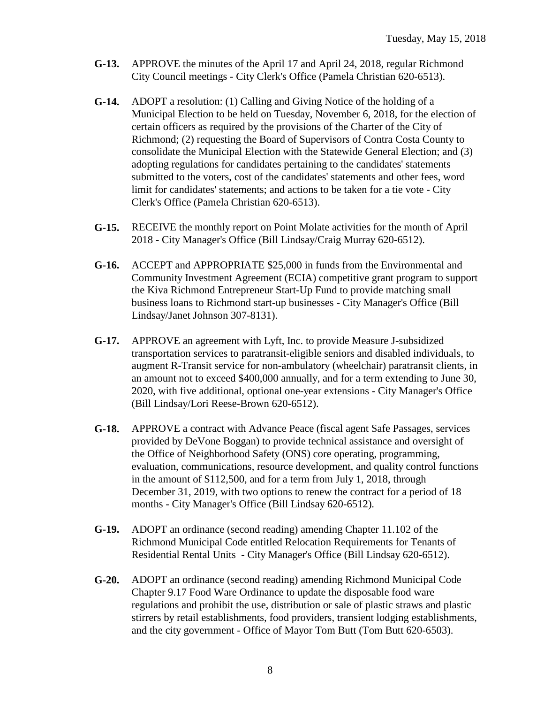- **G-13.** APPROVE the minutes of the April 17 and April 24, 2018, regular Richmond City Council meetings - City Clerk's Office (Pamela Christian 620-6513).
- **G-14.** ADOPT a resolution: (1) Calling and Giving Notice of the holding of a Municipal Election to be held on Tuesday, November 6, 2018, for the election of certain officers as required by the provisions of the Charter of the City of Richmond; (2) requesting the Board of Supervisors of Contra Costa County to consolidate the Municipal Election with the Statewide General Election; and (3) adopting regulations for candidates pertaining to the candidates' statements submitted to the voters, cost of the candidates' statements and other fees, word limit for candidates' statements; and actions to be taken for a tie vote - City Clerk's Office (Pamela Christian 620-6513).
- **G-15.** RECEIVE the monthly report on Point Molate activities for the month of April 2018 - City Manager's Office (Bill Lindsay/Craig Murray 620-6512).
- **G-16.** ACCEPT and APPROPRIATE \$25,000 in funds from the Environmental and Community Investment Agreement (ECIA) competitive grant program to support the Kiva Richmond Entrepreneur Start-Up Fund to provide matching small business loans to Richmond start-up businesses - City Manager's Office (Bill Lindsay/Janet Johnson 307-8131).
- **G-17.** APPROVE an agreement with Lyft, Inc. to provide Measure J-subsidized transportation services to paratransit-eligible seniors and disabled individuals, to augment R-Transit service for non-ambulatory (wheelchair) paratransit clients, in an amount not to exceed \$400,000 annually, and for a term extending to June 30, 2020, with five additional, optional one-year extensions - City Manager's Office (Bill Lindsay/Lori Reese-Brown 620-6512).
- **G-18.** APPROVE a contract with Advance Peace (fiscal agent Safe Passages, services provided by DeVone Boggan) to provide technical assistance and oversight of the Office of Neighborhood Safety (ONS) core operating, programming, evaluation, communications, resource development, and quality control functions in the amount of \$112,500, and for a term from July 1, 2018, through December 31, 2019, with two options to renew the contract for a period of 18 months - City Manager's Office (Bill Lindsay 620-6512).
- **G-19.** ADOPT an ordinance (second reading) amending Chapter 11.102 of the Richmond Municipal Code entitled Relocation Requirements for Tenants of Residential Rental Units - City Manager's Office (Bill Lindsay 620-6512).
- **G-20.** ADOPT an ordinance (second reading) amending Richmond Municipal Code Chapter 9.17 Food Ware Ordinance to update the disposable food ware regulations and prohibit the use, distribution or sale of plastic straws and plastic stirrers by retail establishments, food providers, transient lodging establishments, and the city government - Office of Mayor Tom Butt (Tom Butt 620-6503).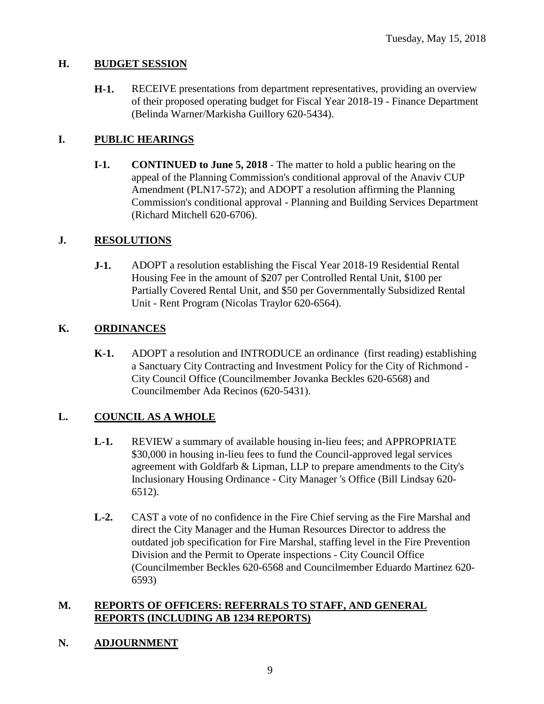### **H. BUDGET SESSION**

**H-1.** RECEIVE presentations from department representatives, providing an overview of their proposed operating budget for Fiscal Year 2018-19 - Finance Department (Belinda Warner/Markisha Guillory 620-5434).

## **I. PUBLIC HEARINGS**

**I-1. CONTINUED to June 5, 2018** - The matter to hold a public hearing on the appeal of the Planning Commission's conditional approval of the Anaviv CUP Amendment (PLN17-572); and ADOPT a resolution affirming the Planning Commission's conditional approval - Planning and Building Services Department (Richard Mitchell 620-6706).

## **J. RESOLUTIONS**

**J-1.** ADOPT a resolution establishing the Fiscal Year 2018-19 Residential Rental Housing Fee in the amount of \$207 per Controlled Rental Unit, \$100 per Partially Covered Rental Unit, and \$50 per Governmentally Subsidized Rental Unit - Rent Program (Nicolas Traylor 620-6564).

## **K. ORDINANCES**

**K-1.** ADOPT a resolution and INTRODUCE an ordinance (first reading) establishing a Sanctuary City Contracting and Investment Policy for the City of Richmond - City Council Office (Councilmember Jovanka Beckles 620-6568) and Councilmember Ada Recinos (620-5431).

## **L. COUNCIL AS A WHOLE**

- **L-1.** REVIEW a summary of available housing in-lieu fees; and APPROPRIATE \$30,000 in housing in-lieu fees to fund the Council-approved legal services agreement with Goldfarb & Lipman, LLP to prepare amendments to the City's Inclusionary Housing Ordinance - City Manager 's Office (Bill Lindsay 620- 6512).
- **L-2.** CAST a vote of no confidence in the Fire Chief serving as the Fire Marshal and direct the City Manager and the Human Resources Director to address the outdated job specification for Fire Marshal, staffing level in the Fire Prevention Division and the Permit to Operate inspections - City Council Office (Councilmember Beckles 620-6568 and Councilmember Eduardo Martinez 620- 6593)

## **M. REPORTS OF OFFICERS: REFERRALS TO STAFF, AND GENERAL REPORTS (INCLUDING AB 1234 REPORTS)**

**N. ADJOURNMENT**